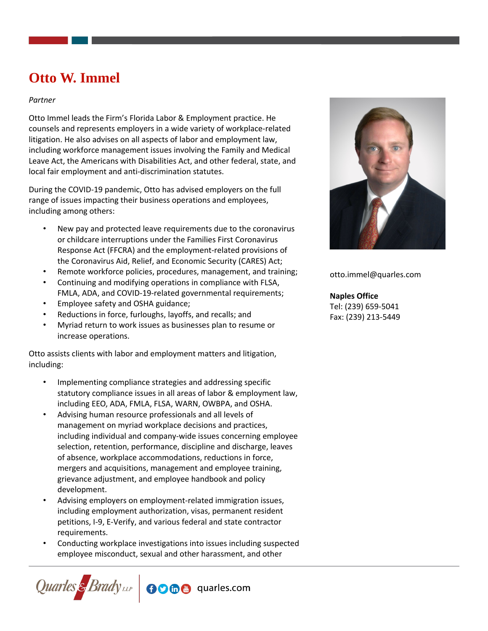# **Otto W. Immel**

### *Partner*

Otto Immel leads the Firm's Florida Labor & Employment practice. He counsels and represents employers in a wide variety of workplace-related litigation. He also advises on all aspects of labor and employment law, including workforce management issues involving the Family and Medical Leave Act, the Americans with Disabilities Act, and other federal, state, and local fair employment and anti-discrimination statutes.

During the COVID-19 pandemic, Otto has advised employers on the full range of issues impacting their business operations and employees, including among others:

- New pay and protected leave requirements due to the coronavirus or childcare interruptions under the Families First Coronavirus Response Act (FFCRA) and the employment-related provisions of the Coronavirus Aid, Relief, and Economic Security (CARES) Act;
- Remote workforce policies, procedures, management, and training;
- Continuing and modifying operations in compliance with FLSA, FMLA, ADA, and COVID-19-related governmental requirements;
- Employee safety and OSHA guidance;
- Reductions in force, furloughs, layoffs, and recalls; and
- Myriad return to work issues as businesses plan to resume or increase operations.

Otto assists clients with labor and employment matters and litigation, including:

- Implementing compliance strategies and addressing specific statutory compliance issues in all areas of labor & employment law, including EEO, ADA, FMLA, FLSA, WARN, OWBPA, and OSHA.
- Advising human resource professionals and all levels of management on myriad workplace decisions and practices, including individual and company-wide issues concerning employee selection, retention, performance, discipline and discharge, leaves of absence, workplace accommodations, reductions in force, mergers and acquisitions, management and employee training, grievance adjustment, and employee handbook and policy development.
- Advising employers on employment-related immigration issues, including employment authorization, visas, permanent resident petitions, I-9, E-Verify, and various federal and state contractor requirements.
- Conducting workplace investigations into issues including suspected employee misconduct, sexual and other harassment, and other





otto.immel@quarles.com

## **Naples Office**

Tel: (239) 659-5041 Fax: (239) 213-5449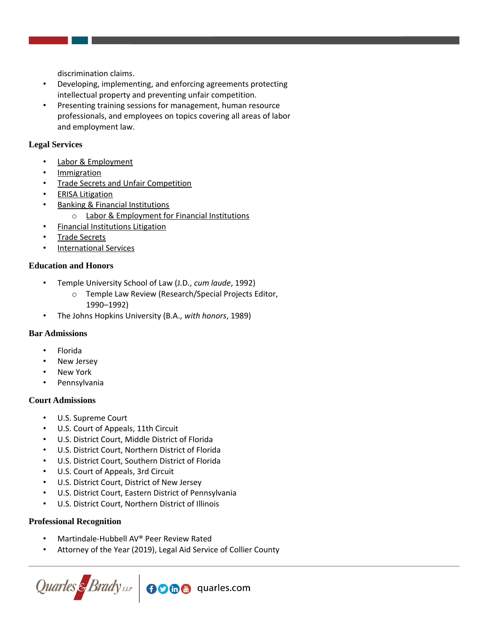discrimination claims.

- Developing, implementing, and enforcing agreements protecting intellectual property and preventing unfair competition.
- Presenting training sessions for management, human resource professionals, and employees on topics covering all areas of labor and employment law.

## **Legal Services**

- **[Labor & Employment](https://www.quarles.com/labor-employment/)**
- **[Immigration](https://www.quarles.com/immigration/)**
- **[Trade Secrets and Unfair Competition](https://www.quarles.com/trade-secrets-and-unfair-competition/)**
- **[ERISA Litigation](https://www.quarles.com/erisa-litigation/)**
- **[Banking & Financial Institutions](https://www.quarles.com/banking-financial-institutions/)** 
	- o [Labor & Employment for Financial Institutions](https://www.quarles.com/banking-financial-institutions/services-2/labor-employment-for-financial-institutions/)
- [Financial Institutions Litigation](https://www.quarles.com/financial-institutions-litigation/)
- [Trade Secrets](https://www.quarles.com/trade-secrets/)
- [International Services](https://www.quarles.com/international-services/)

## **Education and Honors**

- Temple University School of Law (J.D., *cum laude*, 1992)
	- o Temple Law Review (Research/Special Projects Editor, 1990–1992)
- The Johns Hopkins University (B.A., *with honors*, 1989)

## **Bar Admissions**

- Florida
- New Jersey
- **New York**
- **Pennsylvania**

### **Court Admissions**

- U.S. Supreme Court
- U.S. Court of Appeals, 11th Circuit
- U.S. District Court, Middle District of Florida
- U.S. District Court, Northern District of Florida
- U.S. District Court, Southern District of Florida
- U.S. Court of Appeals, 3rd Circuit
- U.S. District Court, District of New Jersey
- U.S. District Court, Eastern District of Pennsylvania
- U.S. District Court, Northern District of Illinois

### **Professional Recognition**

- Martindale-Hubbell AV® Peer Review Rated
- Attorney of the Year (2019), Legal Aid Service of Collier County